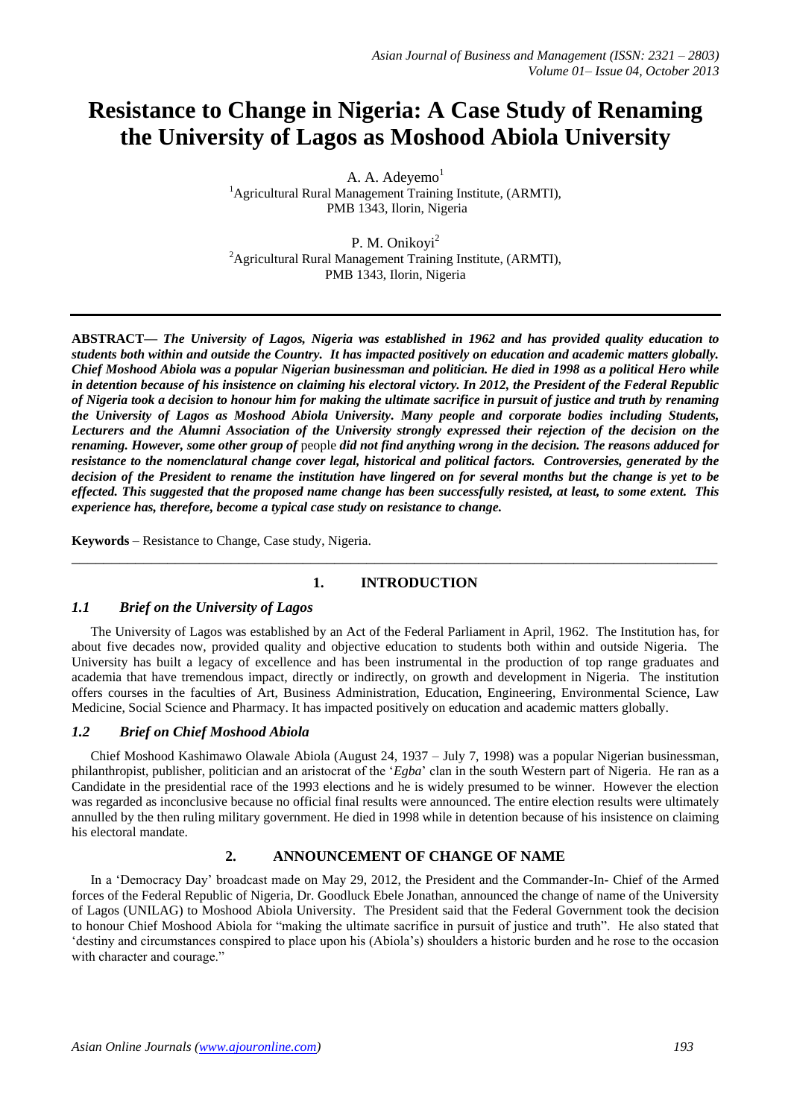# **Resistance to Change in Nigeria: A Case Study of Renaming the University of Lagos as Moshood Abiola University**

A. A. Adeyemo<sup>1</sup> <sup>1</sup>Agricultural Rural Management Training Institute, (ARMTI), PMB 1343, Ilorin, Nigeria

P. M. Onikoyi<sup>2</sup> <sup>2</sup>Agricultural Rural Management Training Institute, (ARMTI), PMB 1343, Ilorin, Nigeria

**ABSTRACT—** *The University of Lagos, Nigeria was established in 1962 and has provided quality education to students both within and outside the Country. It has impacted positively on education and academic matters globally. Chief Moshood Abiola was a popular Nigerian businessman and politician. He died in 1998 as a political Hero while in detention because of his insistence on claiming his electoral victory. In 2012, the President of the Federal Republic of Nigeria took a decision to honour him for making the ultimate sacrifice in pursuit of justice and truth by renaming the University of Lagos as Moshood Abiola University. Many people and corporate bodies including Students, Lecturers and the Alumni Association of the University strongly expressed their rejection of the decision on the renaming. However, some other group of* people *did not find anything wrong in the decision. The reasons adduced for resistance to the nomenclatural change cover legal, historical and political factors. Controversies, generated by the decision of the President to rename the institution have lingered on for several months but the change is yet to be effected. This suggested that the proposed name change has been successfully resisted, at least, to some extent. This experience has, therefore, become a typical case study on resistance to change.*

**Keywords** – Resistance to Change, Case study, Nigeria.

## **1. INTRODUCTION**

\_\_\_\_\_\_\_\_\_\_\_\_\_\_\_\_\_\_\_\_\_\_\_\_\_\_\_\_\_\_\_\_\_\_\_\_\_\_\_\_\_\_\_\_\_\_\_\_\_\_\_\_\_\_\_\_\_\_\_\_\_\_\_\_\_\_\_\_\_\_\_\_\_\_\_\_\_\_\_\_\_

## *1.1 Brief on the University of Lagos*

The University of Lagos was established by an Act of the Federal Parliament in April, 1962. The Institution has, for about five decades now, provided quality and objective education to students both within and outside Nigeria. The University has built a legacy of excellence and has been instrumental in the production of top range graduates and academia that have tremendous impact, directly or indirectly, on growth and development in Nigeria. The institution offers courses in the faculties of Art, Business Administration, Education, Engineering, Environmental Science, Law Medicine, Social Science and Pharmacy. It has impacted positively on education and academic matters globally.

## *1.2 Brief on Chief Moshood Abiola*

Chief Moshood Kashimawo Olawale Abiola (August 24, 1937 – July 7, 1998) was a popular Nigerian businessman, philanthropist, publisher, politician and an aristocrat of the '*Egba*' clan in the south Western part of Nigeria. He ran as a Candidate in the presidential race of the 1993 elections and he is widely presumed to be winner. However the election was regarded as inconclusive because no official final results were announced. The entire election results were ultimately annulled by the then ruling military government. He died in 1998 while in detention because of his insistence on claiming his electoral mandate.

## **2. ANNOUNCEMENT OF CHANGE OF NAME**

In a 'Democracy Day' broadcast made on May 29, 2012, the President and the Commander-In- Chief of the Armed forces of the Federal Republic of Nigeria, Dr. Goodluck Ebele Jonathan, announced the change of name of the University of Lagos (UNILAG) to Moshood Abiola University. The President said that the Federal Government took the decision to honour Chief Moshood Abiola for "making the ultimate sacrifice in pursuit of justice and truth". He also stated that 'destiny and circumstances conspired to place upon his (Abiola's) shoulders a historic burden and he rose to the occasion with character and courage."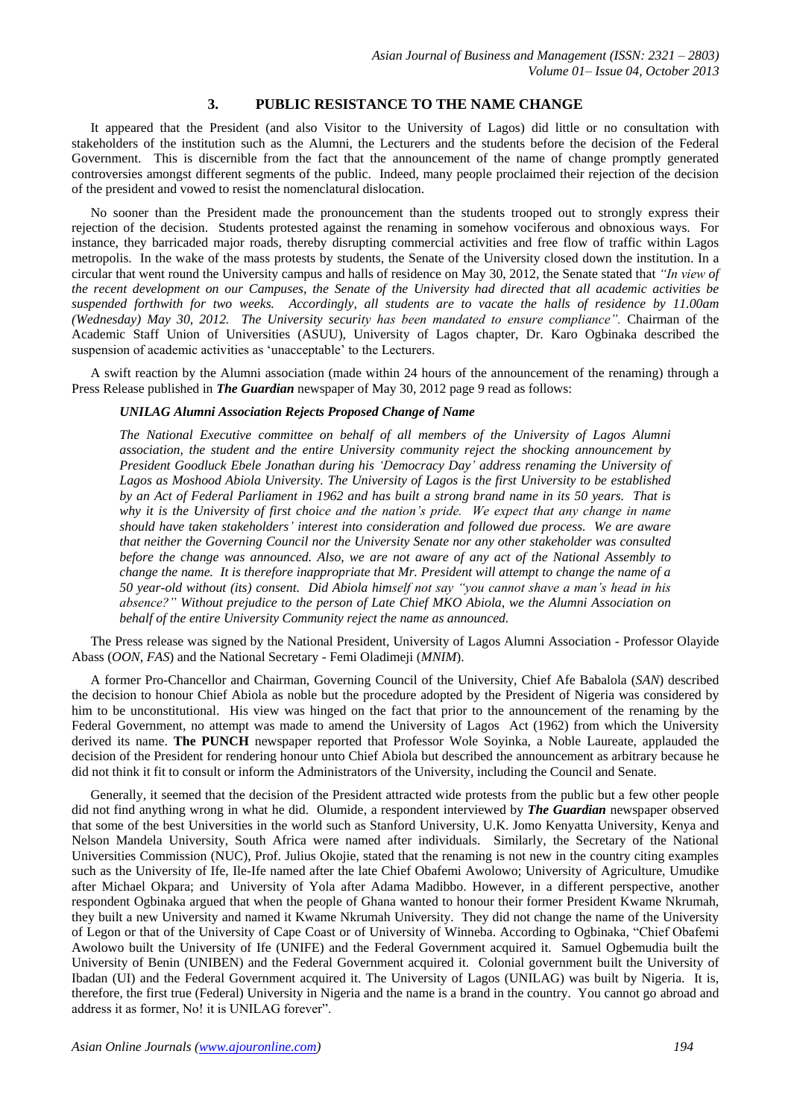#### **3. PUBLIC RESISTANCE TO THE NAME CHANGE**

It appeared that the President (and also Visitor to the University of Lagos) did little or no consultation with stakeholders of the institution such as the Alumni, the Lecturers and the students before the decision of the Federal Government. This is discernible from the fact that the announcement of the name of change promptly generated controversies amongst different segments of the public. Indeed, many people proclaimed their rejection of the decision of the president and vowed to resist the nomenclatural dislocation.

No sooner than the President made the pronouncement than the students trooped out to strongly express their rejection of the decision. Students protested against the renaming in somehow vociferous and obnoxious ways. For instance, they barricaded major roads, thereby disrupting commercial activities and free flow of traffic within Lagos metropolis. In the wake of the mass protests by students, the Senate of the University closed down the institution. In a circular that went round the University campus and halls of residence on May 30, 2012, the Senate stated that *"In view of the recent development on our Campuses, the Senate of the University had directed that all academic activities be suspended forthwith for two weeks. Accordingly, all students are to vacate the halls of residence by 11.00am (Wednesday) May 30, 2012. The University security has been mandated to ensure compliance".* Chairman of the Academic Staff Union of Universities (ASUU), University of Lagos chapter, Dr. Karo Ogbinaka described the suspension of academic activities as 'unacceptable' to the Lecturers.

A swift reaction by the Alumni association (made within 24 hours of the announcement of the renaming) through a Press Release published in *The Guardian* newspaper of May 30, 2012 page 9 read as follows:

#### *UNILAG Alumni Association Rejects Proposed Change of Name*

*The National Executive committee on behalf of all members of the University of Lagos Alumni association, the student and the entire University community reject the shocking announcement by President Goodluck Ebele Jonathan during his 'Democracy Day' address renaming the University of Lagos as Moshood Abiola University. The University of Lagos is the first University to be established by an Act of Federal Parliament in 1962 and has built a strong brand name in its 50 years. That is why it is the University of first choice and the nation's pride. We expect that any change in name should have taken stakeholders' interest into consideration and followed due process. We are aware that neither the Governing Council nor the University Senate nor any other stakeholder was consulted before the change was announced. Also, we are not aware of any act of the National Assembly to change the name. It is therefore inappropriate that Mr. President will attempt to change the name of a 50 year-old without (its) consent. Did Abiola himself not say "you cannot shave a man's head in his absence?" Without prejudice to the person of Late Chief MKO Abiola, we the Alumni Association on behalf of the entire University Community reject the name as announced.*

The Press release was signed by the National President, University of Lagos Alumni Association - Professor Olayide Abass (*OON, FAS*) and the National Secretary - Femi Oladimeji (*MNIM*).

A former Pro-Chancellor and Chairman, Governing Council of the University, Chief Afe Babalola (*SAN*) described the decision to honour Chief Abiola as noble but the procedure adopted by the President of Nigeria was considered by him to be unconstitutional. His view was hinged on the fact that prior to the announcement of the renaming by the Federal Government, no attempt was made to amend the University of Lagos Act (1962) from which the University derived its name. **The PUNCH** newspaper reported that Professor Wole Soyinka, a Noble Laureate, applauded the decision of the President for rendering honour unto Chief Abiola but described the announcement as arbitrary because he did not think it fit to consult or inform the Administrators of the University, including the Council and Senate.

Generally, it seemed that the decision of the President attracted wide protests from the public but a few other people did not find anything wrong in what he did. Olumide, a respondent interviewed by *The Guardian* newspaper observed that some of the best Universities in the world such as Stanford University, U.K. Jomo Kenyatta University, Kenya and Nelson Mandela University, South Africa were named after individuals. Similarly, the Secretary of the National Universities Commission (NUC), Prof. Julius Okojie, stated that the renaming is not new in the country citing examples such as the University of Ife, Ile-Ife named after the late Chief Obafemi Awolowo; University of Agriculture, Umudike after Michael Okpara; and University of Yola after Adama Madibbo. However, in a different perspective, another respondent Ogbinaka argued that when the people of Ghana wanted to honour their former President Kwame Nkrumah, they built a new University and named it Kwame Nkrumah University. They did not change the name of the University of Legon or that of the University of Cape Coast or of University of Winneba. According to Ogbinaka, "Chief Obafemi Awolowo built the University of Ife (UNIFE) and the Federal Government acquired it. Samuel Ogbemudia built the University of Benin (UNIBEN) and the Federal Government acquired it. Colonial government built the University of Ibadan (UI) and the Federal Government acquired it. The University of Lagos (UNILAG) was built by Nigeria. It is, therefore, the first true (Federal) University in Nigeria and the name is a brand in the country. You cannot go abroad and address it as former, No! it is UNILAG forever".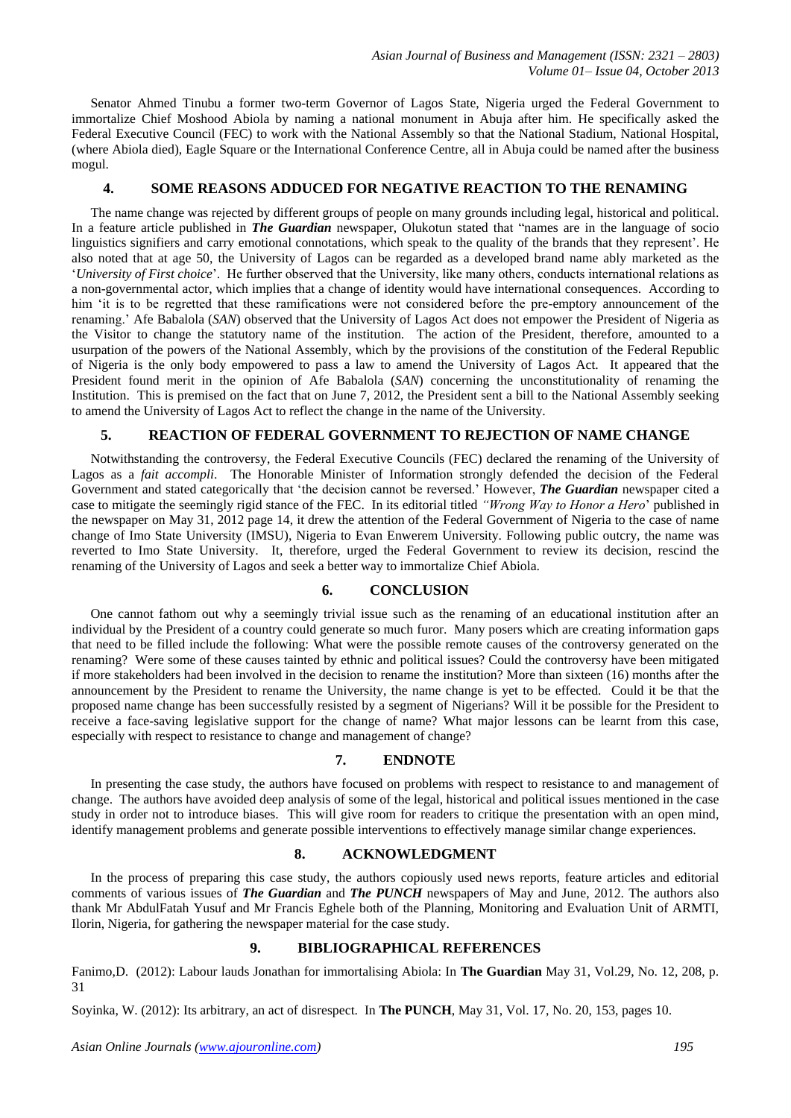Senator Ahmed Tinubu a former two-term Governor of Lagos State, Nigeria urged the Federal Government to immortalize Chief Moshood Abiola by naming a national monument in Abuja after him. He specifically asked the Federal Executive Council (FEC) to work with the National Assembly so that the National Stadium, National Hospital, (where Abiola died), Eagle Square or the International Conference Centre, all in Abuja could be named after the business mogul.

#### **4. SOME REASONS ADDUCED FOR NEGATIVE REACTION TO THE RENAMING**

The name change was rejected by different groups of people on many grounds including legal, historical and political. In a feature article published in *The Guardian* newspaper, Olukotun stated that "names are in the language of socio linguistics signifiers and carry emotional connotations, which speak to the quality of the brands that they represent'. He also noted that at age 50, the University of Lagos can be regarded as a developed brand name ably marketed as the '*University of First choice*'. He further observed that the University, like many others, conducts international relations as a non-governmental actor, which implies that a change of identity would have international consequences. According to him 'it is to be regretted that these ramifications were not considered before the pre-emptory announcement of the renaming.' Afe Babalola (*SAN*) observed that the University of Lagos Act does not empower the President of Nigeria as the Visitor to change the statutory name of the institution. The action of the President, therefore, amounted to a usurpation of the powers of the National Assembly, which by the provisions of the constitution of the Federal Republic of Nigeria is the only body empowered to pass a law to amend the University of Lagos Act. It appeared that the President found merit in the opinion of Afe Babalola (*SAN*) concerning the unconstitutionality of renaming the Institution. This is premised on the fact that on June 7, 2012, the President sent a bill to the National Assembly seeking to amend the University of Lagos Act to reflect the change in the name of the University.

## **5. REACTION OF FEDERAL GOVERNMENT TO REJECTION OF NAME CHANGE**

Notwithstanding the controversy, the Federal Executive Councils (FEC) declared the renaming of the University of Lagos as a *fait accompli*. The Honorable Minister of Information strongly defended the decision of the Federal Government and stated categorically that 'the decision cannot be reversed.' However, *The Guardian* newspaper cited a case to mitigate the seemingly rigid stance of the FEC. In its editorial titled *"Wrong Way to Honor a Hero*' published in the newspaper on May 31, 2012 page 14, it drew the attention of the Federal Government of Nigeria to the case of name change of Imo State University (IMSU), Nigeria to Evan Enwerem University. Following public outcry, the name was reverted to Imo State University. It, therefore, urged the Federal Government to review its decision, rescind the renaming of the University of Lagos and seek a better way to immortalize Chief Abiola.

#### **6. CONCLUSION**

One cannot fathom out why a seemingly trivial issue such as the renaming of an educational institution after an individual by the President of a country could generate so much furor. Many posers which are creating information gaps that need to be filled include the following: What were the possible remote causes of the controversy generated on the renaming? Were some of these causes tainted by ethnic and political issues? Could the controversy have been mitigated if more stakeholders had been involved in the decision to rename the institution? More than sixteen (16) months after the announcement by the President to rename the University, the name change is yet to be effected. Could it be that the proposed name change has been successfully resisted by a segment of Nigerians? Will it be possible for the President to receive a face-saving legislative support for the change of name? What major lessons can be learnt from this case, especially with respect to resistance to change and management of change?

#### **7. ENDNOTE**

In presenting the case study, the authors have focused on problems with respect to resistance to and management of change. The authors have avoided deep analysis of some of the legal, historical and political issues mentioned in the case study in order not to introduce biases. This will give room for readers to critique the presentation with an open mind, identify management problems and generate possible interventions to effectively manage similar change experiences.

#### **8. ACKNOWLEDGMENT**

In the process of preparing this case study, the authors copiously used news reports, feature articles and editorial comments of various issues of *The Guardian* and *The PUNCH* newspapers of May and June, 2012. The authors also thank Mr AbdulFatah Yusuf and Mr Francis Eghele both of the Planning, Monitoring and Evaluation Unit of ARMTI, Ilorin, Nigeria, for gathering the newspaper material for the case study.

#### **9. BIBLIOGRAPHICAL REFERENCES**

Fanimo,D. (2012): Labour lauds Jonathan for immortalising Abiola: In **The Guardian** May 31, Vol.29, No. 12, 208, p. 31

Soyinka, W. (2012): Its arbitrary, an act of disrespect. In **The PUNCH**, May 31, Vol. 17, No. 20, 153, pages 10.